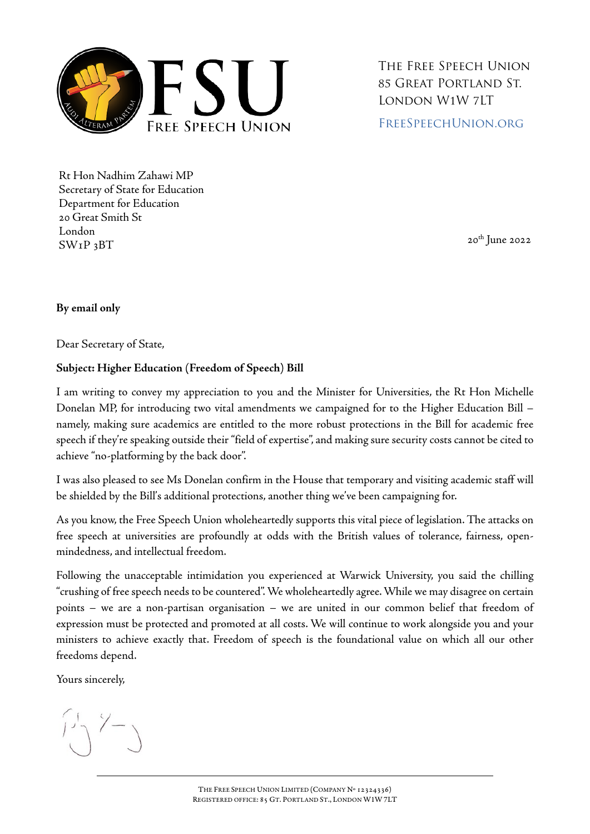

The Free Speech Union 85 Great Portland St. London W1W 7LT [FreeSpeechUnion.org](https://freespeechunion.org/)

Rt Hon Nadhim Zahawi MP Secretary of State for Education Department for Education 20 Great Smith St London  $SWP_3BT$  20<sup>th</sup> June 2022

## **By email only**

Dear Secretary of State,

## **Subject: Higher Education (Freedom of Speech) Bill**

I am writing to convey my appreciation to you and the Minister for Universities, the Rt Hon Michelle Donelan MP, for introducing two vital amendments we campaigned for to the Higher Education Bill – namely, making sure academics are entitled to the more robust protections in the Bill for academic free speech if they're speaking outside their "field of expertise", and making sure security costs cannot be cited to achieve "no-platforming by the back door".

I was also pleased to see Ms Donelan confirm in the House that temporary and visiting academic staff will be shielded by the Bill's additional protections, another thing we've been campaigning for.

As you know, the Free Speech Union wholeheartedly supports this vital piece of legislation. The attacks on free speech at universities are profoundly at odds with the British values of tolerance, fairness, openmindedness, and intellectual freedom.

Following the unacceptable intimidation you experienced at Warwick University, you said the chilling "crushing of free speech needs to be countered". We wholeheartedly agree. While we may disagree on certain points – we are a non-partisan organisation – we are united in our common belief that freedom of expression must be protected and promoted at all costs. We will continue to work alongside you and your ministers to achieve exactly that. Freedom of speech is the foundational value on which all our other freedoms depend.

Yours sincerely,